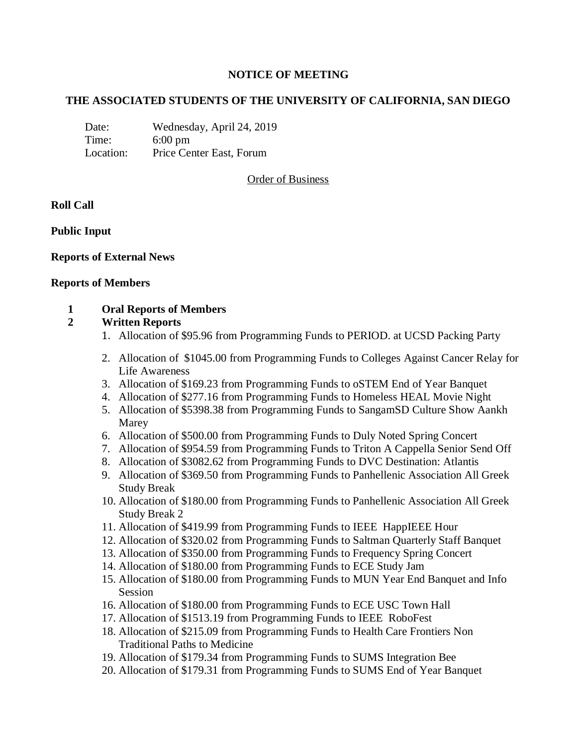## **NOTICE OF MEETING**

## **THE ASSOCIATED STUDENTS OF THE UNIVERSITY OF CALIFORNIA, SAN DIEGO**

Date: Wednesday, April 24, 2019 Time: 6:00 pm Location: Price Center East, Forum

## Order of Business

## **Roll Call**

## **Public Input**

## **Reports of External News**

#### **Reports of Members**

#### **1 Oral Reports of Members**

## **2 Written Reports**

- 1. Allocation of \$95.96 from Programming Funds to PERIOD. at UCSD Packing Party
- 2. Allocation of \$1045.00 from Programming Funds to Colleges Against Cancer Relay for Life Awareness
- 3. Allocation of \$169.23 from Programming Funds to oSTEM End of Year Banquet
- 4. Allocation of \$277.16 from Programming Funds to Homeless HEAL Movie Night
- 5. Allocation of \$5398.38 from Programming Funds to SangamSD Culture Show Aankh Marey
- 6. Allocation of \$500.00 from Programming Funds to Duly Noted Spring Concert
- 7. Allocation of \$954.59 from Programming Funds to Triton A Cappella Senior Send Off
- 8. Allocation of \$3082.62 from Programming Funds to DVC Destination: Atlantis
- 9. Allocation of \$369.50 from Programming Funds to Panhellenic Association All Greek Study Break
- 10. Allocation of \$180.00 from Programming Funds to Panhellenic Association All Greek Study Break 2
- 11. Allocation of \$419.99 from Programming Funds to IEEE HappIEEE Hour
- 12. Allocation of \$320.02 from Programming Funds to Saltman Quarterly Staff Banquet
- 13. Allocation of \$350.00 from Programming Funds to Frequency Spring Concert
- 14. Allocation of \$180.00 from Programming Funds to ECE Study Jam
- 15. Allocation of \$180.00 from Programming Funds to MUN Year End Banquet and Info Session
- 16. Allocation of \$180.00 from Programming Funds to ECE USC Town Hall
- 17. Allocation of \$1513.19 from Programming Funds to IEEE RoboFest
- 18. Allocation of \$215.09 from Programming Funds to Health Care Frontiers Non Traditional Paths to Medicine
- 19. Allocation of \$179.34 from Programming Funds to SUMS Integration Bee
- 20. Allocation of \$179.31 from Programming Funds to SUMS End of Year Banquet